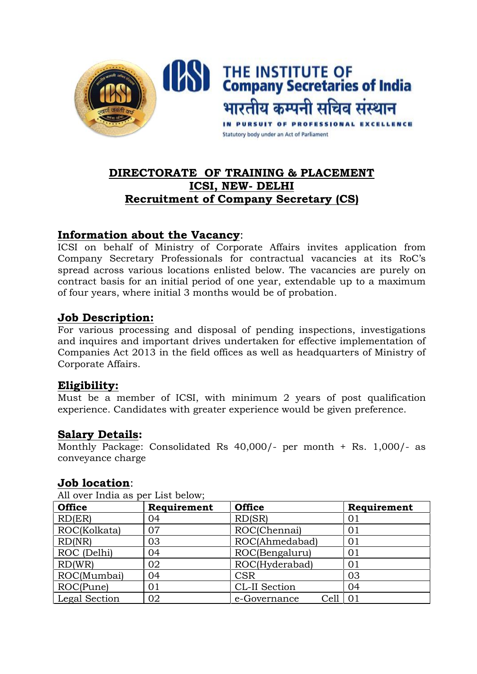

# **DIRECTORATE OF TRAINING & PLACEMENT ICSI, NEW- DELHI Recruitment of Company Secretary (CS)**

### **Information about the Vacancy**:

ICSI on behalf of Ministry of Corporate Affairs invites application from Company Secretary Professionals for contractual vacancies at its RoC's spread across various locations enlisted below. The vacancies are purely on contract basis for an initial period of one year, extendable up to a maximum of four years, where initial 3 months would be of probation.

### **Job Description:**

For various processing and disposal of pending inspections, investigations and inquires and important drives undertaken for effective implementation of Companies Act 2013 in the field offices as well as headquarters of Ministry of Corporate Affairs.

### **Eligibility:**

Must be a member of ICSI, with minimum 2 years of post qualification experience. Candidates with greater experience would be given preference.

### **Salary Details:**

Monthly Package: Consolidated Rs 40,000/- per month + Rs. 1,000/- as conveyance charge

### **Job location**:

| All over filled as per list below, |             |                      |             |
|------------------------------------|-------------|----------------------|-------------|
| <b>Office</b>                      | Requirement | <b>Office</b>        | Requirement |
| RD(ER)                             | 04          | RD(SR)               | 01          |
| ROC(Kolkata)                       | 07          | ROC(Chennai)         | 01          |
| RD(NR)                             | 03          | ROC(Ahmedabad)       | 01          |
| ROC (Delhi)                        | 04          | ROC(Bengaluru)       | 01          |
| RD(WR)                             | 02          | ROC(Hyderabad)       | 01          |
| ROC(Mumbai)                        | 04          | <b>CSR</b>           | 03          |
| ROC(Pune)                          | 01          | CL-II Section        | 04          |
| Legal Section                      | 02          | Cell<br>e-Governance | 01          |

All over India as per List below;